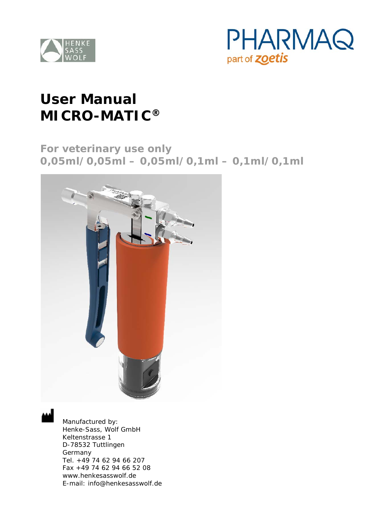



# **User Manual MICRO-MATIC®**

**For veterinary use only 0,05ml/0,05ml – 0,05ml/0,1ml – 0,1ml/0,1ml**



Manufactured by: Henke-Sass, Wolf GmbH Keltenstrasse 1 D-78532 Tuttlingen Germany Tel. +49 74 62 94 66 207 Fax +49 74 62 94 66 52 08 www.henkesasswolf.de E-mail: info@henkesasswolf.de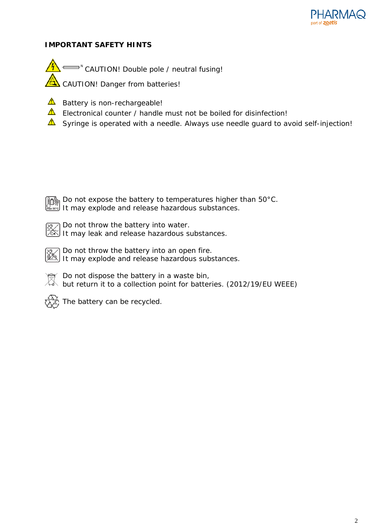

## **IMPORTANT SAFETY HINTS**

CAUTION! Double pole / neutral fusing! NCAUTION! Danger from batteries!

- $\triangle$  Battery is non-rechargeable!
- $\triangle$  Electronical counter / handle must not be boiled for disinfection!
- $\triangle$  Syringe is operated with a needle. Always use needle guard to avoid self-injection!

Do not expose the battery to temperatures higher than 50°C. It may explode and release hazardous substances.

Do not throw the battery into water. It may leak and release hazardous substances.

Do not throw the battery into an open fire. It may explode and release hazardous substances.



Do not dispose the battery in a waste bin, but return it to a collection point for batteries. (2012/19/EU WEEE)



The battery can be recycled.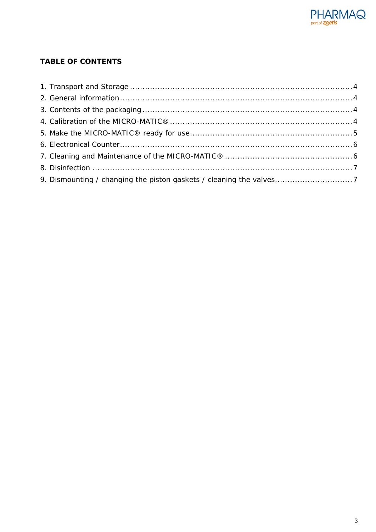

# **TABLE OF CONTENTS**

| 9. Dismounting / changing the piston gaskets / cleaning the valves7 |  |
|---------------------------------------------------------------------|--|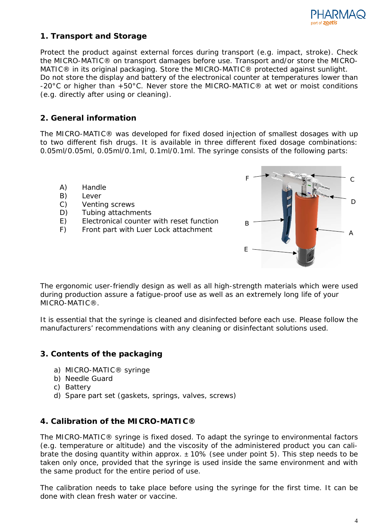

## <span id="page-3-0"></span>**1. Transport and Storage**

Protect the product against external forces during transport (e.g. impact, stroke). Check the MICRO-MATIC® on transport damages before use. Transport and/or store the MICRO-MATIC® in its original packaging. Store the MICRO-MATIC® protected against sunlight. Do not store the display and battery of the electronical counter at temperatures lower than -20°C or higher than +50°C. Never store the MICRO-MATIC® at wet or moist conditions (e.g. directly after using or cleaning).

# <span id="page-3-1"></span>**2. General information**

The MICRO-MATIC® was developed for fixed dosed injection of smallest dosages with up to two different fish drugs. It is available in three different fixed dosage combinations: 0.05ml/0.05ml, 0.05ml/0.1ml, 0.1ml/0.1ml. The syringe consists of the following parts:

- A) Handle
- B) Lever
- C) Venting screws
- D) Tubing attachments
- E) Electronical counter with reset function
- 



The ergonomic user-friendly design as well as all high-strength materials which were used during production assure a fatigue-proof use as well as an extremely long life of your MICRO-MATIC®.

It is essential that the syringe is cleaned and disinfected before each use. Please follow the manufacturers' recommendations with any cleaning or disinfectant solutions used.

# <span id="page-3-2"></span>**3. Contents of the packaging**

- a) MICRO-MATIC® syringe
- b) Needle Guard
- c) Battery
- d) Spare part set (gaskets, springs, valves, screws)

## <span id="page-3-3"></span>**4. Calibration of the MICRO-MATIC®**

The MICRO-MATIC® syringe is fixed dosed. To adapt the syringe to environmental factors (e.g. temperature or altitude) and the viscosity of the administered product you can calibrate the dosing quantity within approx.  $\pm$  10% (see under point 5). This step needs to be taken only once, provided that the syringe is used inside the same environment and with the same product for the entire period of use.

The calibration needs to take place before using the syringe for the first time. It can be done with clean fresh water or vaccine.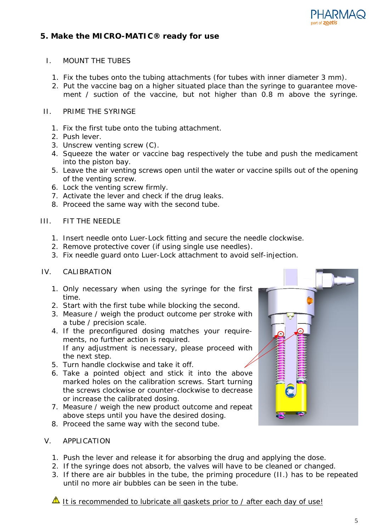

## <span id="page-4-0"></span>**5. Make the MICRO-MATIC® ready for use**

#### I. MOUNT THE TUBES

- 1. Fix the tubes onto the tubing attachments (for tubes with inner diameter 3 mm).
- 2. Put the vaccine bag on a higher situated place than the syringe to guarantee movement / suction of the vaccine, but not higher than 0.8 m above the syringe.

#### II. PRIME THE SYRINGE

- 1. Fix the first tube onto the tubing attachment.
- 2. Push lever.
- 3. Unscrew venting screw (C).
- 4. Squeeze the water or vaccine bag respectively the tube and push the medicament into the piston bay.
- 5. Leave the air venting screws open until the water or vaccine spills out of the opening of the venting screw.
- 6. Lock the venting screw firmly.
- 7. Activate the lever and check if the drug leaks.
- 8. Proceed the same way with the second tube.

### III. FIT THE NEEDLE

- 1. Insert needle onto Luer-Lock fitting and secure the needle clockwise.
- 2. Remove protective cover (if using single use needles).
- 3. Fix needle guard onto Luer-Lock attachment to avoid self-injection.

#### IV. CALIBRATION

- 1. Only necessary when using the syringe for the first time.
- 2. Start with the first tube while blocking the second.
- 3. Measure / weigh the product outcome per stroke with a tube / precision scale.
- 4. If the preconfigured dosing matches your requirements, no further action is required. If any adjustment is necessary, please proceed with the next step.
- 5. Turn handle clockwise and take it off.
- 6. Take a pointed object and stick it into the above marked holes on the calibration screws. Start turning the screws clockwise or counter-clockwise to decrease or increase the calibrated dosing.
- 7. Measure / weigh the new product outcome and repeat above steps until you have the desired dosing.
- 8. Proceed the same way with the second tube.

#### V. APPLICATION

- 1. Push the lever and release it for absorbing the drug and applying the dose.
- 2. If the syringe does not absorb, the valves will have to be cleaned or changed.
- 3. If there are air bubbles in the tube, the priming procedure (II.) has to be repeated until no more air bubbles can be seen in the tube.

It is recommended to lubricate all gaskets prior to / after each day of use!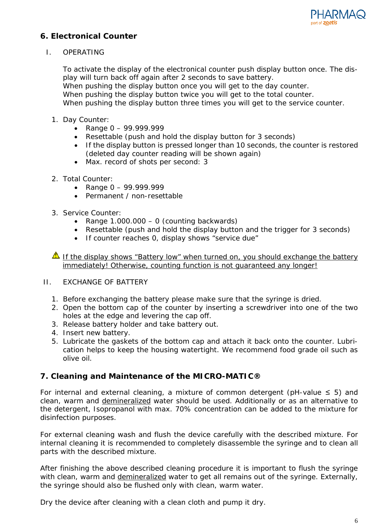

# <span id="page-5-0"></span>**6. Electronical Counter**

I. OPERATING

To activate the display of the electronical counter push display button once. The display will turn back off again after 2 seconds to save battery. When pushing the display button once you will get to the day counter. When pushing the display button twice you will get to the total counter. When pushing the display button three times you will get to the service counter.

- 1. Day Counter:
	- Range  $0 99.999.999$
	- Resettable (push and hold the display button for 3 seconds)
	- If the display button is pressed longer than 10 seconds, the counter is restored (deleted day counter reading will be shown again)
	- Max. record of shots per second: 3
- 2. Total Counter:
	- Range 0 99.999.999
	- Permanent / non-resettable
- 3. Service Counter:
	- Range  $1.000.000 0$  (counting backwards)
	- Resettable (push and hold the display button and the trigger for 3 seconds)
	- If counter reaches 0, display shows "service due"

If the display shows "Battery low" when turned on, you should exchange the battery immediately! Otherwise, counting function is not guaranteed any longer!

- II. EXCHANGE OF BATTERY
	- 1. Before exchanging the battery please make sure that the syringe is dried.
	- 2. Open the bottom cap of the counter by inserting a screwdriver into one of the two holes at the edge and levering the cap off.
	- 3. Release battery holder and take battery out.
	- 4. Insert new battery.
	- 5. Lubricate the gaskets of the bottom cap and attach it back onto the counter. Lubrication helps to keep the housing watertight. We recommend food grade oil such as olive oil.

## <span id="page-5-1"></span>**7. Cleaning and Maintenance of the MICRO-MATIC®**

For internal and external cleaning, a mixture of common detergent (pH-value  $\leq$  5) and clean, warm and demineralized water should be used. Additionally or as an alternative to the detergent, Isopropanol with max. 70% concentration can be added to the mixture for disinfection purposes.

For external cleaning wash and flush the device carefully with the described mixture. For internal cleaning it is recommended to completely disassemble the syringe and to clean all parts with the described mixture.

After finishing the above described cleaning procedure it is important to flush the syringe with clean, warm and demineralized water to get all remains out of the syringe. Externally, the syringe should also be flushed only with clean, warm water.

Dry the device after cleaning with a clean cloth and pump it dry.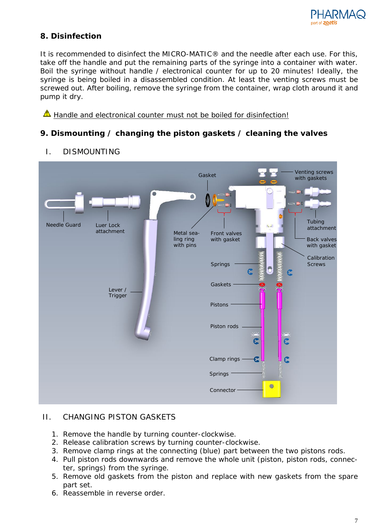

# <span id="page-6-0"></span>**8. Disinfection**

It is recommended to disinfect the MICRO-MATIC® and the needle after each use. For this, take off the handle and put the remaining parts of the syringe into a container with water. Boil the syringe without handle / electronical counter for up to 20 minutes! Ideally, the syringe is being boiled in a disassembled condition. At least the venting screws must be screwed out. After boiling, remove the syringe from the container, wrap cloth around it and pump it dry.

A Handle and electronical counter must not be boiled for disinfection!

# <span id="page-6-1"></span>**9. Dismounting / changing the piston gaskets / cleaning the valves**



I. DISMOUNTING

# II. CHANGING PISTON GASKETS

- 1. Remove the handle by turning counter-clockwise.
- 2. Release calibration screws by turning counter-clockwise.
- 3. Remove clamp rings at the connecting (blue) part between the two pistons rods.
- 4. Pull piston rods downwards and remove the whole unit (piston, piston rods, connecter, springs) from the syringe.
- 5. Remove old gaskets from the piston and replace with new gaskets from the spare part set.
- 6. Reassemble in reverse order.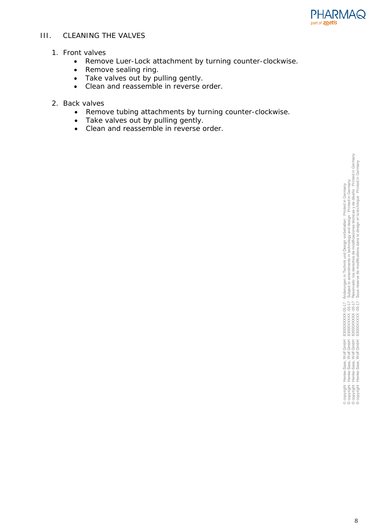

## III. CLEANING THE VALVES

## 1. Front valves

- Remove Luer-Lock attachment by turning counter-clockwise.
- Remove sealing ring.
- Take valves out by pulling gently.
- Clean and reassemble in reverse order.

#### 2. Back valves

- Remove tubing attachments by turning counter-clockwise.
- Take valves out by pulling gently.
- Clean and reassemble in reverse order.

, Änderungen in Technik und Design vorbehalten · Printed in Germany<br>· Subject to amendments in technology and design · Printed in Germany<br>· Sous réserve de modifications dans le design et la technique · Printed in Germany<br> © copyright · Henke-Sass, Wolf GmbH · 83000XXXXX -05-17 · Reservado los derechos de modificaciones técnicas y de diseňo · Printed in Germany © copyright · Henke-Sass, Wolf GmbH · 83000XXXXX -05-17 · Sous réserve de modifications dans le design et la technique · Printed in Germany© copyright · Henke-Sass, Wolf GmbH · 83000XXXXXX -05-17 · Subject to amendments in technology and design · Printed in Germany © copyright · Henke-Sass, Wolf GmbH · 83000XXXXX-05-17 · Änderungen in Technik und Design vorbehalten · Printed in Germany 82000XXXXX0517 - Än 3000XXXXX0517 - St<br>82000XXXXX0517 - St<br>82000XXXXX0517 - St<br>82000XXXXX0517 - St  $f$  GmbH<br> $f$  GmbH<br> $f$  GmbH<br> $f$  GmbH  $\begin{array}{c} 14.7 \\ 24.7 \\ 34.7 \\ 45.7 \\ 56.7 \\ 68.7 \\ 69.7 \\ 69.7 \\ 69.7 \\ 69.7 \\ 69.7 \\ 69.7 \\ 69.7 \\ 69.7 \\ 69.7 \\ 69.7 \\ 69.7 \\ 69.7 \\ 69.7 \\ 69.7 \\ 69.7 \\ 69.7 \\ 69.7 \\ 69.7 \\ 69.7 \\ 69.7 \\ 69.7 \\ 69.7 \\ 69.7 \\ 69.7 \\ 69.7 \\ 69.7 \\ 69.7 \\ 69.7 \\ 69.7 \\ 69$ Henke-Sass, V<br>Henke-Sass, V<br>Henke-Sass, V<br>Henke-Sass, V @copyright · H<br>@copyright · H<br>@copyright · H<br>@copyright · H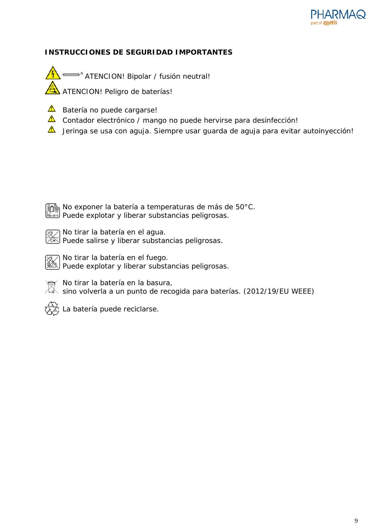

## **INSTRUCCIONES DE SEGURIDAD IMPORTANTES**

N ATENCION! Bipolar / fusión neutral! ATENCION! Peligro de baterías!

- $\triangle$  Batería no puede cargarse!
- **A** Contador electrónico / mango no puede hervirse para desinfección!
- $\Lambda$ Jeringa se usa con aguja. Siempre usar guarda de aguja para evitar autoinyección!



No exponer la batería a temperaturas de más de 50°C. Puede explotar y liberar substancias peligrosas.

7 No tirar la batería en el agua.  $\widetilde{\mathbb{S}}$  Puede salirse y liberar substancias peligrosas.

No tirar la batería en el fuego. Puede explotar y liberar substancias peligrosas.

No tirar la batería en la basura,

sino urar la pateria en la pasara.<br>A sino volverla a un punto de recogida para baterías. (2012/19/EU WEEE)



y<br>9 La batería puede reciclarse.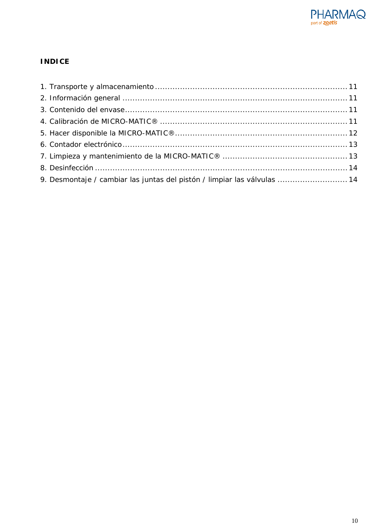

# **INDICE**

| 9. Desmontaje / cambiar las juntas del pistón / limpiar las válvulas  14 |  |
|--------------------------------------------------------------------------|--|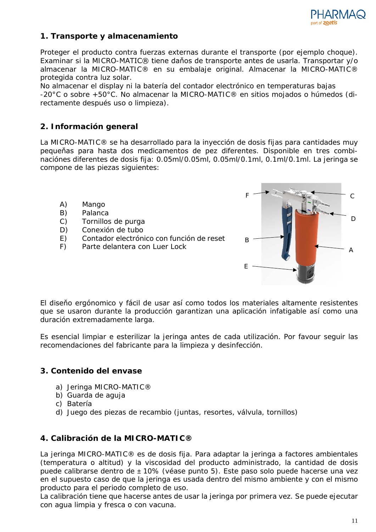

# <span id="page-10-0"></span>**1. Transporte y almacenamiento**

Proteger el producto contra fuerzas externas durante el transporte (por ejemplo choque). Examinar si la MICRO-MATIC® tiene daňos de transporte antes de usarla. Transportar y/o almacenar la MICRO-MATIC® en su embalaje original. Almacenar la MICRO-MATIC® protegida contra luz solar.

No almacenar el display ni la batería del contador electrónico en temperaturas bajas -20°C o sobre +50°C. No almacenar la MICRO-MATIC® en sitios mojados o húmedos (directamente después uso o limpieza).

# <span id="page-10-1"></span>**2. Información general**

La MICRO-MATIC® se ha desarrollado para la inyección de dosis fijas para cantidades muy pequeňas para hasta dos medicamentos de pez diferentes. Disponible en tres combinaciónes diferentes de dosis fija: 0.05ml/0.05ml, 0.05ml/0.1ml, 0.1ml/0.1ml. La jeringa se compone de las piezas siguientes:

- A) Mango
- B) Palanca
- C) Tornillos de purga
- D) Conexión de tubo
- E) Contador electrónico con función de reset
- F) Parte delantera con Luer Lock  $\overline{A}$



El diseňo ergónomico y fácil de usar así como todos los materiales altamente resistentes que se usaron durante la producción garantizan una aplicación infatigable así como una duración extremadamente larga.

Es esencial limpiar e esterilizar la jeringa antes de cada utilización. Por favour seguir las recomendaciones del fabricante para la limpieza y desinfección.

## <span id="page-10-2"></span>**3. Contenido del envase**

- a) Jeringa MICRO-MATIC®
- b) Guarda de aguja
- c) Batería
- d) Juego des piezas de recambio (juntas, resortes, válvula, tornillos)

## <span id="page-10-3"></span>**4. Calibración de la MICRO-MATIC®**

La jeringa MICRO-MATIC® es de dosis fija. Para adaptar la jeringa a factores ambientales (temperatura o altitud) y la viscosidad del producto administrado, la cantidad de dosis puede calibrarse dentro de ± 10% (véase punto 5). Este paso solo puede hacerse una vez en el supuesto caso de que la jeringa es usada dentro del mismo ambiente y con el mismo producto para el periodo completo de uso.

La calibración tiene que hacerse antes de usar la jeringa por primera vez. Se puede ejecutar con agua limpia y fresca o con vacuna.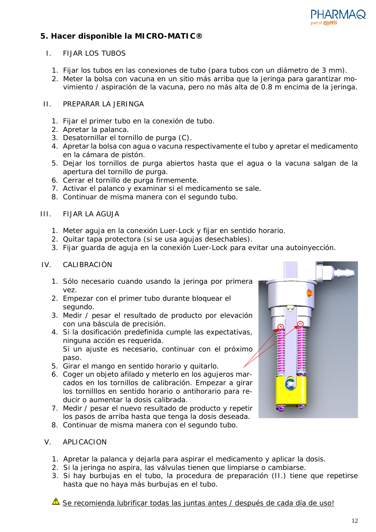

# <span id="page-11-0"></span>**5. Hacer disponible la MICRO-MATIC®**

## I. FIJAR LOS TUBOS

- 1. Fijar los tubos en las conexiones de tubo (para tubos con un diámetro de 3 mm).
- 2. Meter la bolsa con vacuna en un sitio más arriba que la jeringa para garantizar movimiento / aspiración de la vacuna, pero no más alta de 0.8 m encima de la jeringa.

## II. PREPARAR LA JERINGA

- 1. Fijar el primer tubo en la conexión de tubo.
- 2. Apretar la palanca.
- 3. Desatornillar el tornillo de purga (C).
- 4. Apretar la bolsa con agua o vacuna respectivamente el tubo y apretar el medicamento en la cámara de pistón.
- 5. Dejar los tornillos de purga abiertos hasta que el agua o la vacuna salgan de la apertura del tornillo de purga.
- 6. Cerrar el tornillo de purga firmemente.
- 7. Activar el palanco y examinar si el medicamento se sale.
- 8. Continuar de misma manera con el segundo tubo.

### III. FIJAR LA AGUJA

- 1. Meter aguja en la conexión Luer-Lock y fijar en sentido horario.
- 2. Quitar tapa protectora (si se usa agujas desechables).
- 3. Fijar guarda de aguja en la conexión Luer-Lock para evitar una autoinyección.

#### IV. CALIBRACIÒN

- 1. Sólo necesario cuando usando la jeringa por primera vez.
- 2. Empezar con el primer tubo durante bloquear el segundo.
- 3. Medir / pesar el resultado de producto por elevación con una báscula de precisión.
- 4. Si la dosificación predefinida cumple las expectativas, ninguna acción es requerida. Si un ajuste es necesario, continuar con el próximo paso.
- 5. Girar el mango en sentido horario y quitarlo.
- 6. Coger un objeto afilado y meterlo en los agujeros marcados en los tornillos de calibración. Empezar a girar los tornilllos en sentido horario o antihorario para reducir o aumentar la dosis calibrada.
- 7. Medir / pesar el nuevo resultado de producto y repetir los pasos de arriba hasta que tenga la dosis deseada.
- 8. Continuar de misma manera con el segundo tubo.

#### V. APLICACION

- 1. Apretar la palanca y dejarla para aspirar el medicamento y aplicar la dosis.
- 2. Si la jeringa no aspira, las válvulas tienen que limpiarse o cambiarse.
- 3. Si hay burbujas en el tubo, la procedura de preparación (II.) tiene que repetirse hasta que no haya más burbujas en el tubo.

Se recomienda lubrificar todas las juntas antes / después de cada día de uso!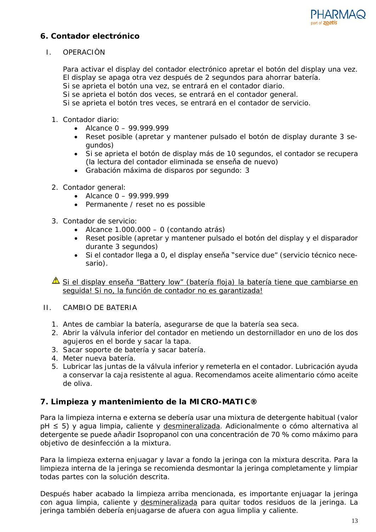

## <span id="page-12-0"></span>**6. Contador electrónico**

I. OPERACIÒN

Para activar el display del contador electrónico apretar el botón del display una vez. El display se apaga otra vez después de 2 segundos para ahorrar batería. Si se aprieta el botón una vez, se entrará en el contador diario.

Si se aprieta el botón dos veces, se entrará en el contador general.

Si se aprieta el botón tres veces, se entrará en el contador de servicio.

- 1. Contador diario:
	- Alcance  $0 99.999.999$
	- Reset posible (apretar y mantener pulsado el botón de display durante 3 segundos)
	- Si se aprieta el botón de display más de 10 segundos, el contador se recupera (la lectura del contador eliminada se enseňa de nuevo)
	- Grabación máxima de disparos por segundo: 3
- 2. Contador general:
	- Alcance  $0 99.999.999$
	- Permanente / reset no es possible
- 3. Contador de servicio:
	- Alcance 1.000.000 0 (contando atrás)
	- Reset posible (apretar y mantener pulsado el botón del display y el disparador durante 3 segundos)
	- Si el contador llega a 0, el display enseňa "service due" (servicio técnico necesario).

Si el display enseña "Battery low" (batería floja) la batería tiene que cambiarse en seguida! Si no, la función de contador no es garantizada!

- II. CAMBIO DE BATERIA
	- 1. Antes de cambiar la batería, asegurarse de que la batería sea seca.
	- 2. Abrir la válvula inferior del contador en metiendo un destornillador en uno de los dos agujeros en el borde y sacar la tapa.
	- 3. Sacar soporte de batería y sacar batería.
	- 4. Meter nueva batería.
	- 5. Lubricar las juntas de la válvula inferior y remeterla en el contador. Lubricación ayuda a conservar la caja resistente al agua. Recomendamos aceite alimentario cómo aceite de oliva.

## <span id="page-12-1"></span>**7. Limpieza y mantenimiento de la MICRO-MATIC®**

Para la limpieza interna e externa se debería usar una mixtura de detergente habitual (valor pH ≤ 5) y agua limpia, caliente y desmineralizada. Adicionalmente o cómo alternativa al detergente se puede aňadir Isopropanol con una concentración de 70 % como máximo para objetivo de desinfección a la mixtura.

Para la limpieza externa enjuagar y lavar a fondo la jeringa con la mixtura descrita. Para la limpieza interna de la jeringa se recomienda desmontar la jeringa completamente y limpiar todas partes con la solución descrita.

Después haber acabado la limpieza arriba mencionada, es importante enjuagar la jeringa con agua limpia, caliente y desmineralizada para quitar todos residuos de la jeringa. La jeringa también debería enjuagarse de afuera con agua limplia y caliente.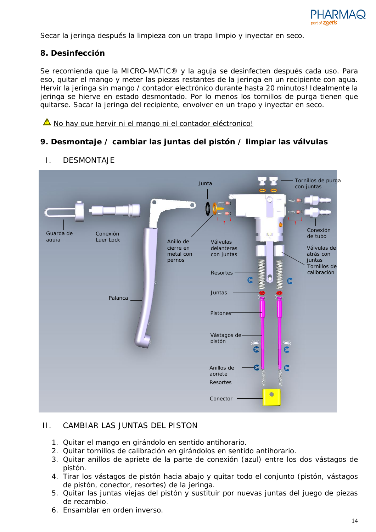

Secar la jeringa después la limpieza con un trapo limpio y inyectar en seco.

## <span id="page-13-0"></span>**8. Desinfección**

Se recomienda que la MICRO-MATIC® y la aguja se desinfecten después cada uso. Para eso, quitar el mango y meter las piezas restantes de la jeringa en un recipiente con agua. Hervir la jeringa sin mango / contador electrónico durante hasta 20 minutos! Idealmente la jeringa se hierve en estado desmontado. Por lo menos los tornillos de purga tienen que quitarse. Sacar la jeringa del recipiente, envolver en un trapo y inyectar en seco.

 $\triangle$  No hay que hervir ni el mango ni el contador eléctronico!

# <span id="page-13-1"></span>**9. Desmontaje / cambiar las juntas del pistón / limpiar las válvulas**



## I. DESMONTAJE

## II. CAMBIAR LAS JUNTAS DEL PISTON

- 1. Quitar el mango en girándolo en sentido antihorario.
- 2. Quitar tornillos de calibración en girándolos en sentido antihorario.
- 3. Quitar anillos de apriete de la parte de conexión (azul) entre los dos vástagos de pistón.
- 4. Tirar los vástagos de pistón hacia abajo y quitar todo el conjunto (pistón, vástagos de pistón, conector, resortes) de la jeringa.
- 5. Quitar las juntas viejas del pistón y sustituir por nuevas juntas del juego de piezas de recambio.
- 6. Ensamblar en orden inverso.